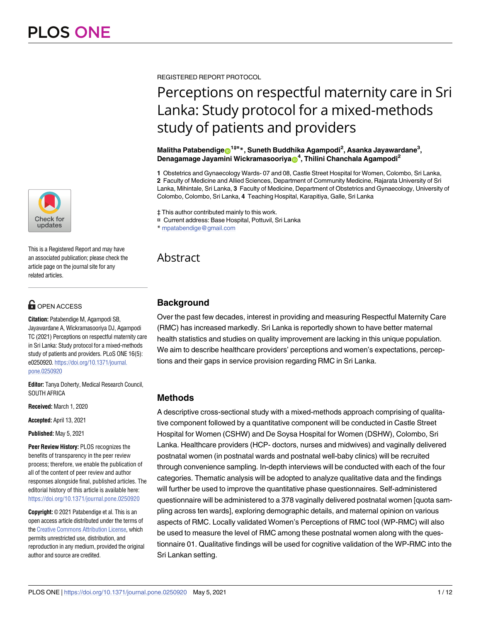

This is a Registered Report and may have an associated publication; please check the article page on the journal site for any related articles.

# **OPEN ACCESS**

**Citation:** Patabendige M, Agampodi SB, Jayawardane A, Wickramasooriya DJ, Agampodi TC (2021) Perceptions on respectful maternity care in Sri Lanka: Study protocol for a mixed-methods study of patients and providers. PLoS ONE 16(5): e0250920. [https://doi.org/10.1371/journal.](https://doi.org/10.1371/journal.pone.0250920) [pone.0250920](https://doi.org/10.1371/journal.pone.0250920)

**Editor:** Tanya Doherty, Medical Research Council, SOUTH AFRICA

**Received:** March 1, 2020

**Accepted:** April 13, 2021

**Published:** May 5, 2021

**Peer Review History:** PLOS recognizes the benefits of transparency in the peer review process; therefore, we enable the publication of all of the content of peer review and author responses alongside final, published articles. The editorial history of this article is available here: <https://doi.org/10.1371/journal.pone.0250920>

**Copyright:** © 2021 Patabendige et al. This is an open access article distributed under the terms of the Creative [Commons](http://creativecommons.org/licenses/by/4.0/) Attribution License, which permits unrestricted use, distribution, and reproduction in any medium, provided the original author and source are credited.

REGISTERED REPORT PROTOCOL

# Perceptions on respectful maternity care in Sri Lanka: Study protocol for a mixed-methods study of patients and providers

 $\blacksquare$ Malitha Patabendige $\blacksquare^{1\ddagger\mathtt{m}*}$ , Suneth Buddhika Agampodi<sup>2</sup>, Asanka Jayawardane $^3,$ **Denagamage Jayamini Wickramasooriya<sup>n</sup>, Thilini Chanchala Agampodi<sup>2</sup>** 

**1** Obstetrics and Gynaecology Wards- 07 and 08, Castle Street Hospital for Women, Colombo, Sri Lanka, **2** Faculty of Medicine and Allied Sciences, Department of Community Medicine, Rajarata University of Sri Lanka, Mihintale, Sri Lanka, **3** Faculty of Medicine, Department of Obstetrics and Gynaecology, University of Colombo, Colombo, Sri Lanka, **4** Teaching Hospital, Karapitiya, Galle, Sri Lanka

‡ This author contributed mainly to this work.

¤ Current address: Base Hospital, Pottuvil, Sri Lanka

\* mpatabendige@gmail.com

## Abstract

## **Background**

Over the past few decades, interest in providing and measuring Respectful Maternity Care (RMC) has increased markedly. Sri Lanka is reportedly shown to have better maternal health statistics and studies on quality improvement are lacking in this unique population. We aim to describe healthcare providers' perceptions and women's expectations, perceptions and their gaps in service provision regarding RMC in Sri Lanka.

## **Methods**

A descriptive cross-sectional study with a mixed-methods approach comprising of qualitative component followed by a quantitative component will be conducted in Castle Street Hospital for Women (CSHW) and De Soysa Hospital for Women (DSHW), Colombo, Sri Lanka. Healthcare providers (HCP- doctors, nurses and midwives) and vaginally delivered postnatal women (in postnatal wards and postnatal well-baby clinics) will be recruited through convenience sampling. In-depth interviews will be conducted with each of the four categories. Thematic analysis will be adopted to analyze qualitative data and the findings will further be used to improve the quantitative phase questionnaires. Self-administered questionnaire will be administered to a 378 vaginally delivered postnatal women [quota sampling across ten wards], exploring demographic details, and maternal opinion on various aspects of RMC. Locally validated Women's Perceptions of RMC tool (WP-RMC) will also be used to measure the level of RMC among these postnatal women along with the questionnaire 01. Qualitative findings will be used for cognitive validation of the WP-RMC into the Sri Lankan setting.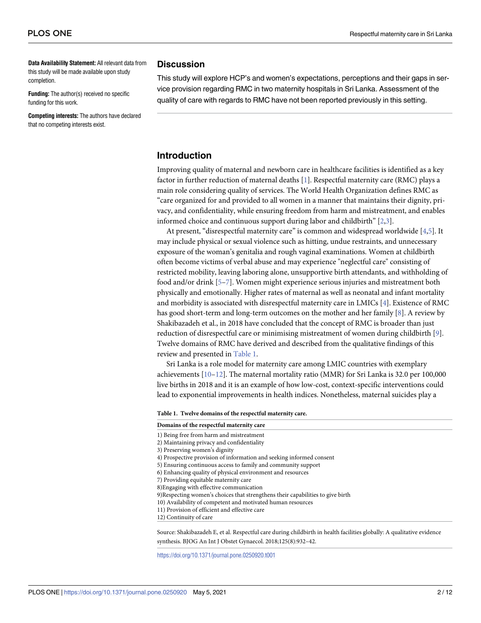<span id="page-1-0"></span>**Data Availability Statement:** All relevant data from this study will be made available upon study completion.

**Funding:** The author(s) received no specific funding for this work.

**Competing interests:** The authors have declared that no competing interests exist.

## **Discussion**

This study will explore HCP's and women's expectations, perceptions and their gaps in service provision regarding RMC in two maternity hospitals in Sri Lanka. Assessment of the quality of care with regards to RMC have not been reported previously in this setting.

## **Introduction**

Improving quality of maternal and newborn care in healthcare facilities is identified as a key factor in further reduction of maternal deaths [[1](#page-9-0)]. Respectful maternity care (RMC) plays a main role considering quality of services. The World Health Organization defines RMC as "care organized for and provided to all women in a manner that maintains their dignity, privacy, and confidentiality, while ensuring freedom from harm and mistreatment, and enables informed choice and continuous support during labor and childbirth" [\[2,3\]](#page-9-0).

At present, "disrespectful maternity care" is common and widespread worldwide [\[4,5\]](#page-9-0). It may include physical or sexual violence such as hitting, undue restraints, and unnecessary exposure of the woman's genitalia and rough vaginal examinations. Women at childbirth often become victims of verbal abuse and may experience "neglectful care" consisting of restricted mobility, leaving laboring alone, unsupportive birth attendants, and withholding of food and/or drink [[5](#page-9-0)–[7](#page-9-0)]. Women might experience serious injuries and mistreatment both physically and emotionally. Higher rates of maternal as well as neonatal and infant mortality and morbidity is associated with disrespectful maternity care in LMICs [\[4](#page-9-0)]. Existence of RMC has good short-term and long-term outcomes on the mother and her family [\[8](#page-9-0)]. A review by Shakibazadeh et al., in 2018 have concluded that the concept of RMC is broader than just reduction of disrespectful care or minimising mistreatment of women during childbirth [[9](#page-9-0)]. Twelve domains of RMC have derived and described from the qualitative findings of this review and presented in Table 1.

Sri Lanka is a role model for maternity care among LMIC countries with exemplary achievements  $[10-12]$ . The maternal mortality ratio (MMR) for Sri Lanka is 32.0 per 100,000 live births in 2018 and it is an example of how low-cost, context-specific interventions could lead to exponential improvements in health indices. Nonetheless, maternal suicides play a

**Table 1. Twelve domains of the respectful maternity care.**

**Domains of the respectful maternity care**

- 1) Being free from harm and mistreatment
- 2) Maintaining privacy and confidentiality
- 3) Preserving women's dignity
- 4) Prospective provision of information and seeking informed consent
- 5) Ensuring continuous access to family and community support
- 6) Enhancing quality of physical environment and resources
- 7) Providing equitable maternity care
- 8)Engaging with effective communication
- 9)Respecting women's choices that strengthens their capabilities to give birth
- 10) Availability of competent and motivated human resources
- 11) Provision of efficient and effective care
- 12) Continuity of care

Source: Shakibazadeh E, et al. Respectful care during childbirth in health facilities globally: A qualitative evidence synthesis. BJOG An Int J Obstet Gynaecol. 2018;125(8):932–42.

<https://doi.org/10.1371/journal.pone.0250920.t001>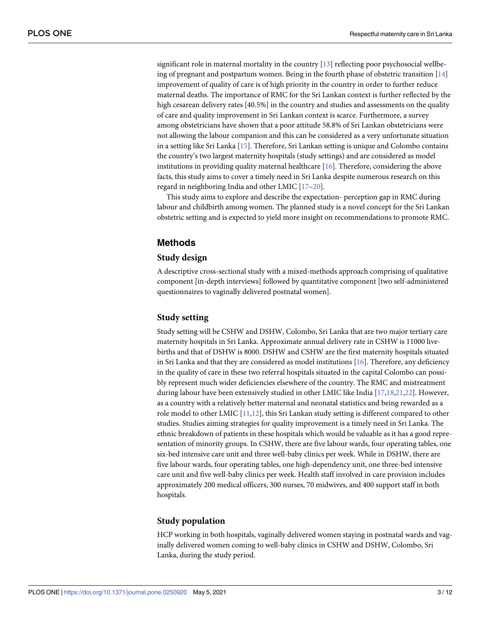<span id="page-2-0"></span>significant role in maternal mortality in the country [\[13\]](#page-9-0) reflecting poor psychosocial wellbeing of pregnant and postpartum women. Being in the fourth phase of obstetric transition [[14](#page-9-0)] improvement of quality of care is of high priority in the country in order to further reduce maternal deaths. The importance of RMC for the Sri Lankan context is further reflected by the high cesarean delivery rates [40.5%] in the country and studies and assessments on the quality of care and quality improvement in Sri Lankan context is scarce. Furthermore, a survey among obstetricians have shown that a poor attitude 58.8% of Sri Lankan obstetricians were not allowing the labour companion and this can be considered as a very unfortunate situation in a setting like Sri Lanka [[15](#page-9-0)]. Therefore, Sri Lankan setting is unique and Colombo contains the country's two largest maternity hospitals (study settings) and are considered as model institutions in providing quality maternal healthcare [[16](#page-9-0)]. Therefore, considering the above facts, this study aims to cover a timely need in Sri Lanka despite numerous research on this regard in neighboring India and other LMIC [[17](#page-9-0)[–20\]](#page-10-0).

This study aims to explore and describe the expectation- perception gap in RMC during labour and childbirth among women. The planned study is a novel concept for the Sri Lankan obstetric setting and is expected to yield more insight on recommendations to promote RMC.

## **Methods**

## **Study design**

A descriptive cross-sectional study with a mixed-methods approach comprising of qualitative component [in-depth interviews] followed by quantitative component [two self-administered questionnaires to vaginally delivered postnatal women].

## **Study setting**

Study setting will be CSHW and DSHW, Colombo, Sri Lanka that are two major tertiary care maternity hospitals in Sri Lanka. Approximate annual delivery rate in CSHW is 11000 livebirths and that of DSHW is 8000. DSHW and CSHW are the first maternity hospitals situated in Sri Lanka and that they are considered as model institutions  $[16]$  $[16]$  $[16]$ . Therefore, any deficiency in the quality of care in these two referral hospitals situated in the capital Colombo can possibly represent much wider deficiencies elsewhere of the country. The RMC and mistreatment during labour have been extensively studied in other LMIC like India [\[17,18,](#page-9-0)[21](#page-10-0),[22](#page-10-0)]. However, as a country with a relatively better maternal and neonatal statistics and being rewarded as a role model to other LMIC [[11](#page-9-0),[12](#page-9-0)], this Sri Lankan study setting is different compared to other studies. Studies aiming strategies for quality improvement is a timely need in Sri Lanka. The ethnic breakdown of patients in these hospitals which would be valuable as it has a good representation of minority groups. In CSHW, there are five labour wards, four operating tables, one six-bed intensive care unit and three well-baby clinics per week. While in DSHW, there are five labour wards, four operating tables, one high-dependency unit, one three-bed intensive care unit and five well-baby clinics per week. Health staff involved in care provision includes approximately 200 medical officers, 300 nurses, 70 midwives, and 400 support staff in both hospitals.

## **Study population**

HCP working in both hospitals, vaginally delivered women staying in postnatal wards and vaginally delivered women coming to well-baby clinics in CSHW and DSHW, Colombo, Sri Lanka, during the study period.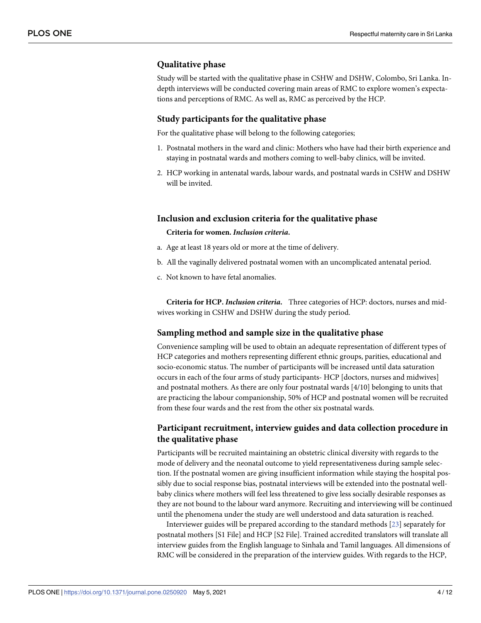## <span id="page-3-0"></span>**Qualitative phase**

Study will be started with the qualitative phase in CSHW and DSHW, Colombo, Sri Lanka. Indepth interviews will be conducted covering main areas of RMC to explore women's expectations and perceptions of RMC. As well as, RMC as perceived by the HCP.

## **Study participants for the qualitative phase**

For the qualitative phase will belong to the following categories;

- 1. Postnatal mothers in the ward and clinic: Mothers who have had their birth experience and staying in postnatal wards and mothers coming to well-baby clinics, will be invited.
- 2. HCP working in antenatal wards, labour wards, and postnatal wards in CSHW and DSHW will be invited.

#### **Inclusion and exclusion criteria for the qualitative phase**

#### **Criteria for women.** *Inclusion criteria***.**

- a. Age at least 18 years old or more at the time of delivery.
- b. All the vaginally delivered postnatal women with an uncomplicated antenatal period.
- c. Not known to have fetal anomalies.

**Criteria for HCP.** *Inclusion criteria***.** Three categories of HCP: doctors, nurses and midwives working in CSHW and DSHW during the study period.

## **Sampling method and sample size in the qualitative phase**

Convenience sampling will be used to obtain an adequate representation of different types of HCP categories and mothers representing different ethnic groups, parities, educational and socio-economic status. The number of participants will be increased until data saturation occurs in each of the four arms of study participants- HCP [doctors, nurses and midwives] and postnatal mothers. As there are only four postnatal wards [4/10] belonging to units that are practicing the labour companionship, 50% of HCP and postnatal women will be recruited from these four wards and the rest from the other six postnatal wards.

## **Participant recruitment, interview guides and data collection procedure in the qualitative phase**

Participants will be recruited maintaining an obstetric clinical diversity with regards to the mode of delivery and the neonatal outcome to yield representativeness during sample selection. If the postnatal women are giving insufficient information while staying the hospital possibly due to social response bias, postnatal interviews will be extended into the postnatal wellbaby clinics where mothers will feel less threatened to give less socially desirable responses as they are not bound to the labour ward anymore. Recruiting and interviewing will be continued until the phenomena under the study are well understood and data saturation is reached.

Interviewer guides will be prepared according to the standard methods [[23](#page-10-0)] separately for postnatal mothers [S1 File] and HCP [S2 File]. Trained accredited translators will translate all interview guides from the English language to Sinhala and Tamil languages. All dimensions of RMC will be considered in the preparation of the interview guides. With regards to the HCP,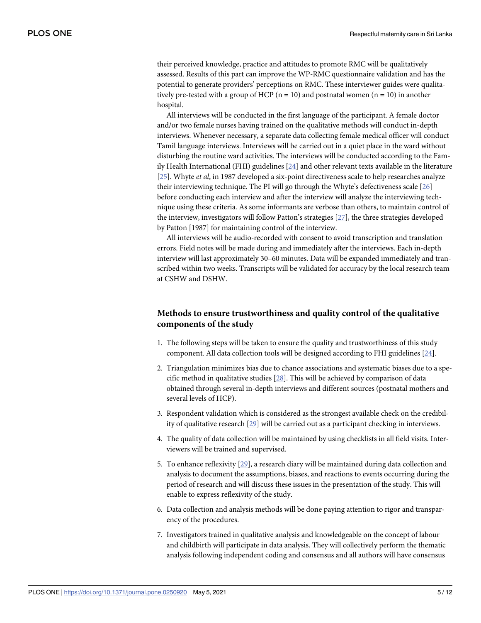<span id="page-4-0"></span>their perceived knowledge, practice and attitudes to promote RMC will be qualitatively assessed. Results of this part can improve the WP-RMC questionnaire validation and has the potential to generate providers' perceptions on RMC. These interviewer guides were qualitatively pre-tested with a group of HCP ( $n = 10$ ) and postnatal women ( $n = 10$ ) in another hospital.

All interviews will be conducted in the first language of the participant. A female doctor and/or two female nurses having trained on the qualitative methods will conduct in-depth interviews. Whenever necessary, a separate data collecting female medical officer will conduct Tamil language interviews. Interviews will be carried out in a quiet place in the ward without disturbing the routine ward activities. The interviews will be conducted according to the Family Health International (FHI) guidelines [\[24\]](#page-10-0) and other relevant texts available in the literature [\[25\]](#page-10-0). Whyte *et al*, in 1987 developed a six-point directiveness scale to help researches analyze their interviewing technique. The PI will go through the Whyte's defectiveness scale [[26](#page-10-0)] before conducting each interview and after the interview will analyze the interviewing technique using these criteria. As some informants are verbose than others, to maintain control of the interview, investigators will follow Patton's strategies [[27](#page-10-0)], the three strategies developed by Patton [1987] for maintaining control of the interview.

All interviews will be audio-recorded with consent to avoid transcription and translation errors. Field notes will be made during and immediately after the interviews. Each in-depth interview will last approximately 30–60 minutes. Data will be expanded immediately and transcribed within two weeks. Transcripts will be validated for accuracy by the local research team at CSHW and DSHW.

## **Methods to ensure trustworthiness and quality control of the qualitative components of the study**

- 1. The following steps will be taken to ensure the quality and trustworthiness of this study component. All data collection tools will be designed according to FHI guidelines [[24](#page-10-0)].
- 2. Triangulation minimizes bias due to chance associations and systematic biases due to a specific method in qualitative studies [[28](#page-10-0)]. This will be achieved by comparison of data obtained through several in-depth interviews and different sources (postnatal mothers and several levels of HCP).
- 3. Respondent validation which is considered as the strongest available check on the credibility of qualitative research [\[29\]](#page-10-0) will be carried out as a participant checking in interviews.
- 4. The quality of data collection will be maintained by using checklists in all field visits. Interviewers will be trained and supervised.
- 5. To enhance reflexivity [\[29\]](#page-10-0), a research diary will be maintained during data collection and analysis to document the assumptions, biases, and reactions to events occurring during the period of research and will discuss these issues in the presentation of the study. This will enable to express reflexivity of the study.
- 6. Data collection and analysis methods will be done paying attention to rigor and transparency of the procedures.
- 7. Investigators trained in qualitative analysis and knowledgeable on the concept of labour and childbirth will participate in data analysis. They will collectively perform the thematic analysis following independent coding and consensus and all authors will have consensus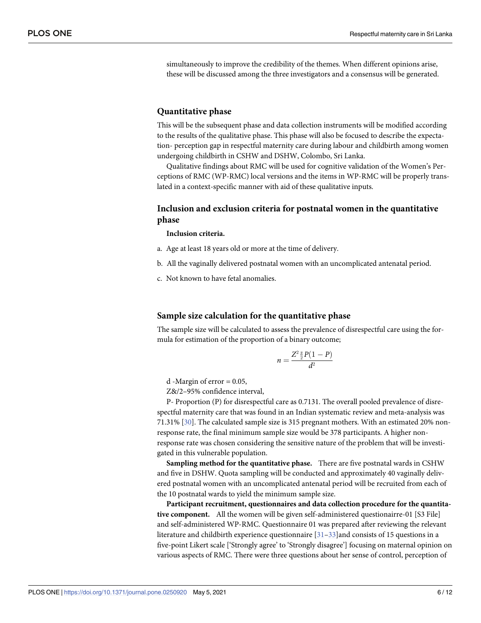<span id="page-5-0"></span>simultaneously to improve the credibility of the themes. When different opinions arise, these will be discussed among the three investigators and a consensus will be generated.

## **Quantitative phase**

This will be the subsequent phase and data collection instruments will be modified according to the results of the qualitative phase. This phase will also be focused to describe the expectation- perception gap in respectful maternity care during labour and childbirth among women undergoing childbirth in CSHW and DSHW, Colombo, Sri Lanka.

Qualitative findings about RMC will be used for cognitive validation of the Women's Perceptions of RMC (WP-RMC) local versions and the items in WP-RMC will be properly translated in a context-specific manner with aid of these qualitative inputs.

## **Inclusion and exclusion criteria for postnatal women in the quantitative phase**

**Inclusion criteria.**

- a. Age at least 18 years old or more at the time of delivery.
- b. All the vaginally delivered postnatal women with an uncomplicated antenatal period.
- c. Not known to have fetal anomalies.

## **Sample size calculation for the quantitative phase**

The sample size will be calculated to assess the prevalence of disrespectful care using the formula for estimation of the proportion of a binary outcome;

$$
n=\frac{Z^2\frac{\alpha}{2}P(1-P)}{d^2}
$$

d -Margin of error = 0.05,

Z&/2–95% confidence interval,

P- Proportion (P) for disrespectful care as 0.7131. The overall pooled prevalence of disrespectful maternity care that was found in an Indian systematic review and meta-analysis was 71.31% [\[30\]](#page-10-0). The calculated sample size is 315 pregnant mothers. With an estimated 20% nonresponse rate, the final minimum sample size would be 378 participants. A higher nonresponse rate was chosen considering the sensitive nature of the problem that will be investigated in this vulnerable population.

**Sampling method for the quantitative phase.** There are five postnatal wards in CSHW and five in DSHW. Quota sampling will be conducted and approximately 40 vaginally delivered postnatal women with an uncomplicated antenatal period will be recruited from each of the 10 postnatal wards to yield the minimum sample size.

**Participant recruitment, questionnaires and data collection procedure for the quantitative component.** All the women will be given self-administered questionairre-01 [S3 File] and self-administered WP-RMC. Questionnaire 01 was prepared after reviewing the relevant literature and childbirth experience questionnaire  $[31-33]$  and consists of 15 questions in a five-point Likert scale ['Strongly agree' to 'Strongly disagree'] focusing on maternal opinion on various aspects of RMC. There were three questions about her sense of control, perception of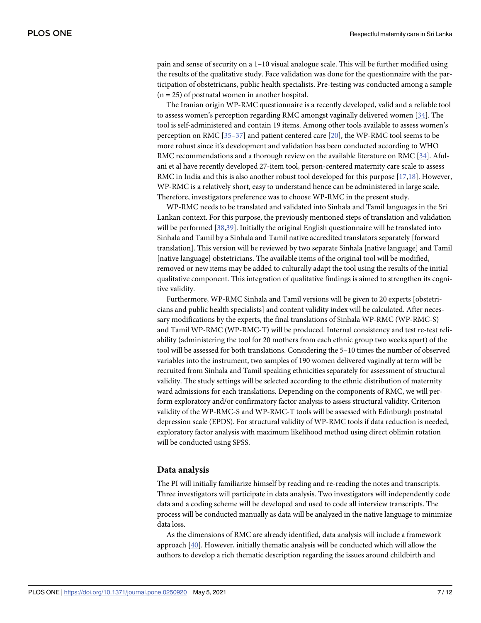<span id="page-6-0"></span>pain and sense of security on a 1–10 visual analogue scale. This will be further modified using the results of the qualitative study. Face validation was done for the questionnaire with the participation of obstetricians, public health specialists. Pre-testing was conducted among a sample  $(n = 25)$  of postnatal women in another hospital.

The Iranian origin WP-RMC questionnaire is a recently developed, valid and a reliable tool to assess women's perception regarding RMC amongst vaginally delivered women [[34](#page-10-0)]. The tool is self-administered and contain 19 items. Among other tools available to assess women's perception on RMC [\[35–37](#page-10-0)] and patient centered care [\[20\]](#page-10-0), the WP-RMC tool seems to be more robust since it's development and validation has been conducted according to WHO RMC recommendations and a thorough review on the available literature on RMC [[34](#page-10-0)]. Afulani et al have recently developed 27-item tool, person-centered maternity care scale to assess RMC in India and this is also another robust tool developed for this purpose [\[17,18](#page-9-0)]. However, WP-RMC is a relatively short, easy to understand hence can be administered in large scale. Therefore, investigators preference was to choose WP-RMC in the present study.

WP-RMC needs to be translated and validated into Sinhala and Tamil languages in the Sri Lankan context. For this purpose, the previously mentioned steps of translation and validation will be performed [\[38,39\]](#page-10-0). Initially the original English questionnaire will be translated into Sinhala and Tamil by a Sinhala and Tamil native accredited translators separately [forward translation]. This version will be reviewed by two separate Sinhala [native language] and Tamil [native language] obstetricians. The available items of the original tool will be modified, removed or new items may be added to culturally adapt the tool using the results of the initial qualitative component. This integration of qualitative findings is aimed to strengthen its cognitive validity.

Furthermore, WP-RMC Sinhala and Tamil versions will be given to 20 experts [obstetricians and public health specialists] and content validity index will be calculated. After necessary modifications by the experts, the final translations of Sinhala WP-RMC (WP-RMC-S) and Tamil WP-RMC (WP-RMC-T) will be produced. Internal consistency and test re-test reliability (administering the tool for 20 mothers from each ethnic group two weeks apart) of the tool will be assessed for both translations. Considering the 5–10 times the number of observed variables into the instrument, two samples of 190 women delivered vaginally at term will be recruited from Sinhala and Tamil speaking ethnicities separately for assessment of structural validity. The study settings will be selected according to the ethnic distribution of maternity ward admissions for each translations. Depending on the components of RMC, we will perform exploratory and/or confirmatory factor analysis to assess structural validity. Criterion validity of the WP-RMC-S and WP-RMC-T tools will be assessed with Edinburgh postnatal depression scale (EPDS). For structural validity of WP-RMC tools if data reduction is needed, exploratory factor analysis with maximum likelihood method using direct oblimin rotation will be conducted using SPSS.

## **Data analysis**

The PI will initially familiarize himself by reading and re-reading the notes and transcripts. Three investigators will participate in data analysis. Two investigators will independently code data and a coding scheme will be developed and used to code all interview transcripts. The process will be conducted manually as data will be analyzed in the native language to minimize data loss.

As the dimensions of RMC are already identified, data analysis will include a framework approach [[40](#page-11-0)]. However, initially thematic analysis will be conducted which will allow the authors to develop a rich thematic description regarding the issues around childbirth and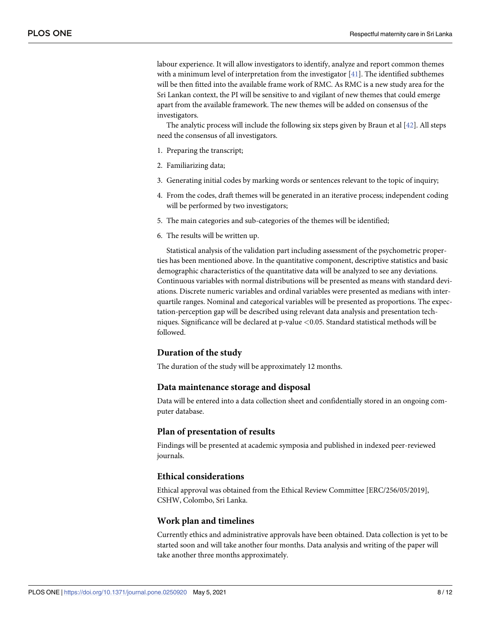<span id="page-7-0"></span>labour experience. It will allow investigators to identify, analyze and report common themes with a minimum level of interpretation from the investigator [[41](#page-11-0)]. The identified subthemes will be then fitted into the available frame work of RMC. As RMC is a new study area for the Sri Lankan context, the PI will be sensitive to and vigilant of new themes that could emerge apart from the available framework. The new themes will be added on consensus of the investigators.

The analytic process will include the following six steps given by Braun et al [\[42\]](#page-11-0). All steps need the consensus of all investigators.

- 1. Preparing the transcript;
- 2. Familiarizing data;
- 3. Generating initial codes by marking words or sentences relevant to the topic of inquiry;
- 4. From the codes, draft themes will be generated in an iterative process; independent coding will be performed by two investigators;
- 5. The main categories and sub-categories of the themes will be identified;
- 6. The results will be written up.

Statistical analysis of the validation part including assessment of the psychometric properties has been mentioned above. In the quantitative component, descriptive statistics and basic demographic characteristics of the quantitative data will be analyzed to see any deviations. Continuous variables with normal distributions will be presented as means with standard deviations. Discrete numeric variables and ordinal variables were presented as medians with interquartile ranges. Nominal and categorical variables will be presented as proportions. The expectation-perception gap will be described using relevant data analysis and presentation techniques. Significance will be declared at p-value *<*0.05. Standard statistical methods will be followed.

#### **Duration of the study**

The duration of the study will be approximately 12 months.

#### **Data maintenance storage and disposal**

Data will be entered into a data collection sheet and confidentially stored in an ongoing computer database.

## **Plan of presentation of results**

Findings will be presented at academic symposia and published in indexed peer-reviewed journals.

## **Ethical considerations**

Ethical approval was obtained from the Ethical Review Committee [ERC/256/05/2019], CSHW, Colombo, Sri Lanka.

#### **Work plan and timelines**

Currently ethics and administrative approvals have been obtained. Data collection is yet to be started soon and will take another four months. Data analysis and writing of the paper will take another three months approximately.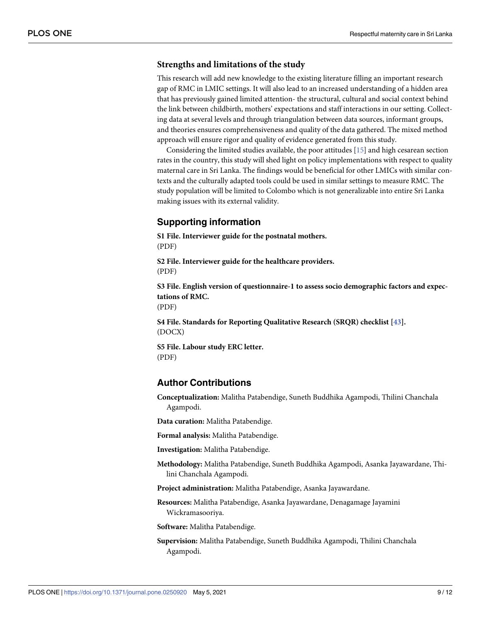## <span id="page-8-0"></span>**Strengths and limitations of the study**

This research will add new knowledge to the existing literature filling an important research gap of RMC in LMIC settings. It will also lead to an increased understanding of a hidden area that has previously gained limited attention- the structural, cultural and social context behind the link between childbirth, mothers' expectations and staff interactions in our setting. Collecting data at several levels and through triangulation between data sources, informant groups, and theories ensures comprehensiveness and quality of the data gathered. The mixed method approach will ensure rigor and quality of evidence generated from this study.

Considering the limited studies available, the poor attitudes [[15](#page-9-0)] and high cesarean section rates in the country, this study will shed light on policy implementations with respect to quality maternal care in Sri Lanka. The findings would be beneficial for other LMICs with similar contexts and the culturally adapted tools could be used in similar settings to measure RMC. The study population will be limited to Colombo which is not generalizable into entire Sri Lanka making issues with its external validity.

## **Supporting information**

**S1 [File.](http://www.plosone.org/article/fetchSingleRepresentation.action?uri=info:doi/10.1371/journal.pone.0250920.s001) Interviewer guide for the postnatal mothers.** (PDF)

**S2 [File.](http://www.plosone.org/article/fetchSingleRepresentation.action?uri=info:doi/10.1371/journal.pone.0250920.s002) Interviewer guide for the healthcare providers.** (PDF)

**S3 [File.](http://www.plosone.org/article/fetchSingleRepresentation.action?uri=info:doi/10.1371/journal.pone.0250920.s003) English version of questionnaire-1 to assess socio demographic factors and expectations of RMC.** (PDF)

**S4 [File.](http://www.plosone.org/article/fetchSingleRepresentation.action?uri=info:doi/10.1371/journal.pone.0250920.s004) Standards for Reporting Qualitative Research (SRQR) checklist [\[43\]](#page-11-0).** (DOCX)

**S5 [File.](http://www.plosone.org/article/fetchSingleRepresentation.action?uri=info:doi/10.1371/journal.pone.0250920.s005) Labour study ERC letter.** (PDF)

## **Author Contributions**

**Conceptualization:** Malitha Patabendige, Suneth Buddhika Agampodi, Thilini Chanchala Agampodi.

**Data curation:** Malitha Patabendige.

**Formal analysis:** Malitha Patabendige.

**Investigation:** Malitha Patabendige.

**Methodology:** Malitha Patabendige, Suneth Buddhika Agampodi, Asanka Jayawardane, Thilini Chanchala Agampodi.

**Project administration:** Malitha Patabendige, Asanka Jayawardane.

**Resources:** Malitha Patabendige, Asanka Jayawardane, Denagamage Jayamini Wickramasooriya.

**Software:** Malitha Patabendige.

**Supervision:** Malitha Patabendige, Suneth Buddhika Agampodi, Thilini Chanchala Agampodi.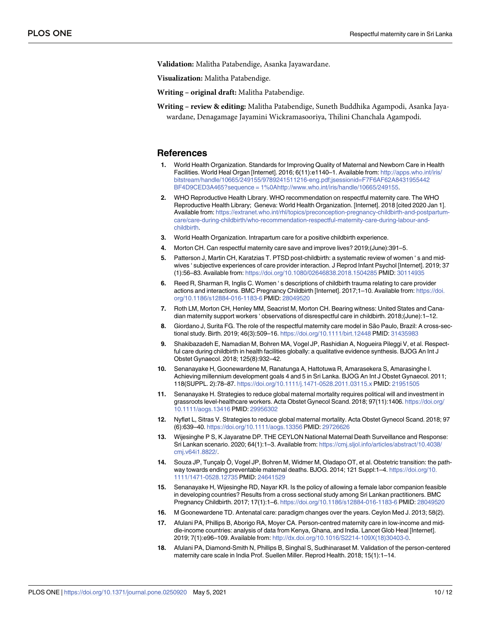<span id="page-9-0"></span>**Validation:** Malitha Patabendige, Asanka Jayawardane.

**Visualization:** Malitha Patabendige.

**Writing – original draft:** Malitha Patabendige.

**Writing – review & editing:** Malitha Patabendige, Suneth Buddhika Agampodi, Asanka Jayawardane, Denagamage Jayamini Wickramasooriya, Thilini Chanchala Agampodi.

#### **References**

- **[1](#page-1-0).** World Health Organization. Standards for Improving Quality of Maternal and Newborn Care in Health Facilities. World Heal Organ [Internet]. 2016; 6(11):e1140–1. Available from: [http://apps.who.int/iris/](http://apps.who.int/iris/bitstream/handle/10665/249155/9789241511216-eng.pdf;jsessionid=F7F6AF62A8431955442BF4D9CED3A465?sequence = 1%0A) [bitstream/handle/10665/249155/9789241511216-eng.pdf;jsessionid=F7F6AF62A8431955442](http://apps.who.int/iris/bitstream/handle/10665/249155/9789241511216-eng.pdf;jsessionid=F7F6AF62A8431955442BF4D9CED3A465?sequence = 1%0A) [BF4D9CED3A465?sequence](http://apps.who.int/iris/bitstream/handle/10665/249155/9789241511216-eng.pdf;jsessionid=F7F6AF62A8431955442BF4D9CED3A465?sequence = 1%0A) = 1%0[Ahttp://www.who.int/iris/handle/10665/249155](http://www.who.int/iris/handle/10665/249155).
- **[2](#page-1-0).** WHO Reproductive Health Library. WHO recommendation on respectful maternity care. The WHO Reproductive Health Library; Geneva: World Health Organization. [Internet]. 2018 [cited 2020 Jan 1]. Available from: [https://extranet.who.int/rhl/topics/preconception-pregnancy-childbirth-and-postpartum](https://extranet.who.int/rhl/topics/preconception-pregnancy-childbirth-and-postpartum-care/care-during-childbirth/who-recommendation-respectful-maternity-care-during-labour-and-childbirth)[care/care-during-childbirth/who-recommendation-respectful-maternity-care-during-labour-and](https://extranet.who.int/rhl/topics/preconception-pregnancy-childbirth-and-postpartum-care/care-during-childbirth/who-recommendation-respectful-maternity-care-during-labour-and-childbirth)[childbirth.](https://extranet.who.int/rhl/topics/preconception-pregnancy-childbirth-and-postpartum-care/care-during-childbirth/who-recommendation-respectful-maternity-care-during-labour-and-childbirth)
- **[3](#page-1-0).** World Health Organization. Intrapartum care for a positive childbirth experience.
- **[4](#page-1-0).** Morton CH. Can respectful maternity care save and improve lives? 2019;(June):391–5.
- **[5](#page-1-0).** Patterson J, Martin CH, Karatzias T. PTSD post-childbirth: a systematic review of women ' s and midwives ' subjective experiences of care provider interaction. J Reprod Infant Psychol [Internet]. 2019; 37 (1):56–83. Available from: <https://doi.org/10.1080/02646838.2018.1504285> PMID: [30114935](http://www.ncbi.nlm.nih.gov/pubmed/30114935)
- **6.** Reed R, Sharman R, Inglis C. Women ' s descriptions of childbirth trauma relating to care provider actions and interactions. BMC Pregnancy Childbirth [Internet]. 2017;1–10. Available from: [https://doi.](https://doi.org/10.1186/s12884-016-1183-6) [org/10.1186/s12884-016-1183-6](https://doi.org/10.1186/s12884-016-1183-6) PMID: [28049520](http://www.ncbi.nlm.nih.gov/pubmed/28049520)
- **[7](#page-1-0).** Roth LM, Morton CH, Henley MM, Seacrist M, Morton CH. Bearing witness: United States and Canadian maternity support workers ' observations of disrespectful care in childbirth. 2018;(June):1–12.
- **[8](#page-1-0).** Giordano J, Surita FG. The role of the respectful maternity care model in São Paulo, Brazil: A cross-sectional study. Birth. 2019; 46(3):509–16. <https://doi.org/10.1111/birt.12448> PMID: [31435983](http://www.ncbi.nlm.nih.gov/pubmed/31435983)
- **[9](#page-1-0).** Shakibazadeh E, Namadian M, Bohren MA, Vogel JP, Rashidian A, Nogueira Pileggi V, et al. Respectful care during childbirth in health facilities globally: a qualitative evidence synthesis. BJOG An Int J Obstet Gynaecol. 2018; 125(8):932–42.
- **[10](#page-1-0).** Senanayake H, Goonewardene M, Ranatunga A, Hattotuwa R, Amarasekera S, Amarasinghe I. Achieving millennium development goals 4 and 5 in Sri Lanka. BJOG An Int J Obstet Gynaecol. 2011; 118(SUPPL. 2):78–87. <https://doi.org/10.1111/j.1471-0528.2011.03115.x> PMID: [21951505](http://www.ncbi.nlm.nih.gov/pubmed/21951505)
- **[11](#page-2-0).** Senanayake H. Strategies to reduce global maternal mortality requires political will and investment in grassroots level-healthcare workers. Acta Obstet Gynecol Scand. 2018; 97(11):1406. [https://doi.org/](https://doi.org/10.1111/aogs.13416) [10.1111/aogs.13416](https://doi.org/10.1111/aogs.13416) PMID: [29956302](http://www.ncbi.nlm.nih.gov/pubmed/29956302)
- **[12](#page-1-0).** Nyfløt L, Sitras V. Strategies to reduce global maternal mortality. Acta Obstet Gynecol Scand. 2018; 97 (6):639–40. <https://doi.org/10.1111/aogs.13356> PMID: [29726626](http://www.ncbi.nlm.nih.gov/pubmed/29726626)
- **[13](#page-2-0).** Wijesinghe P S, K Jayaratne DP. THE CEYLON National Maternal Death Surveillance and Response: Sri Lankan scenario. 2020; 64(1):1–3. Available from: [https://cmj.sljol.info/articles/abstract/10.4038/](https://cmj.sljol.info/articles/abstract/10.4038/cmj.v64i1.8822/) [cmj.v64i1.8822/.](https://cmj.sljol.info/articles/abstract/10.4038/cmj.v64i1.8822/)
- **[14](#page-2-0).** Souza JP, Tunçalp Ö, Vogel JP, Bohren M, Widmer M, Oladapo OT, et al. Obstetric transition: the pathway towards ending preventable maternal deaths. BJOG. 2014; 121 Suppl:1–4. [https://doi.org/10.](https://doi.org/10.1111/1471-0528.12735) [1111/1471-0528.12735](https://doi.org/10.1111/1471-0528.12735) PMID: [24641529](http://www.ncbi.nlm.nih.gov/pubmed/24641529)
- **[15](#page-2-0).** Senanayake H, Wijesinghe RD, Nayar KR. Is the policy of allowing a female labor companion feasible in developing countries? Results from a cross sectional study among Sri Lankan practitioners. BMC Pregnancy Childbirth. 2017; 17(1):1–6. <https://doi.org/10.1186/s12884-016-1183-6> PMID: [28049520](http://www.ncbi.nlm.nih.gov/pubmed/28049520)
- **[16](#page-2-0).** M Goonewardene TD. Antenatal care: paradigm changes over the years. Ceylon Med J. 2013; 58(2).
- **[17](#page-2-0).** Afulani PA, Phillips B, Aborigo RA, Moyer CA. Person-centred maternity care in low-income and middle-income countries: analysis of data from Kenya, Ghana, and India. Lancet Glob Heal [Internet]. 2019; 7(1):e96–109. Available from: [http://dx.doi.org/10.1016/S2214-109X\(18\)30403-0](http://dx.doi.org/10.1016/S2214-109X(18)30403-0).
- **[18](#page-2-0).** Afulani PA, Diamond-Smith N, Phillips B, Singhal S, Sudhinaraset M. Validation of the person-centered maternity care scale in India Prof. Suellen Miller. Reprod Health. 2018; 15(1):1–14.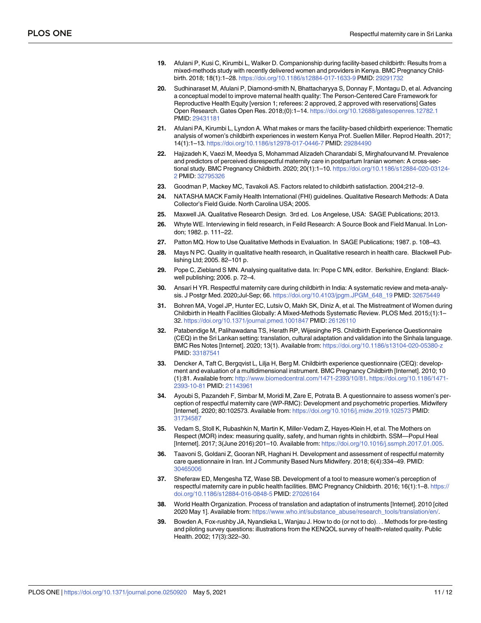- <span id="page-10-0"></span>**19.** Afulani P, Kusi C, Kirumbi L, Walker D. Companionship during facility-based childbirth: Results from a mixed-methods study with recently delivered women and providers in Kenya. BMC Pregnancy Childbirth. 2018; 18(1):1–28. <https://doi.org/10.1186/s12884-017-1633-9> PMID: [29291732](http://www.ncbi.nlm.nih.gov/pubmed/29291732)
- **[20](#page-2-0).** Sudhinaraset M, Afulani P, Diamond-smith N, Bhattacharyya S, Donnay F, Montagu D, et al. Advancing a conceptual model to improve maternal health quality: The Person-Centered Care Framework for Reproductive Health Equity [version 1; referees: 2 approved, 2 approved with reservations] Gates Open Research. Gates Open Res. 2018;(0):1–14. <https://doi.org/10.12688/gatesopenres.12782.1> PMID: [29431181](http://www.ncbi.nlm.nih.gov/pubmed/29431181)
- **[21](#page-2-0).** Afulani PA, Kirumbi L, Lyndon A. What makes or mars the facility-based childbirth experience: Thematic analysis of women's childbirth experiences in western Kenya Prof. Suellen Miller. Reprod Health. 2017; 14(1):1–13. <https://doi.org/10.1186/s12978-017-0446-7> PMID: [29284490](http://www.ncbi.nlm.nih.gov/pubmed/29284490)
- **[22](#page-2-0).** Hajizadeh K, Vaezi M, Meedya S, Mohammad Alizadeh Charandabi S, Mirghafourvand M. Prevalence and predictors of perceived disrespectful maternity care in postpartum Iranian women: A cross-sectional study. BMC Pregnancy Childbirth. 2020; 20(1):1–10. [https://doi.org/10.1186/s12884-020-03124-](https://doi.org/10.1186/s12884-020-03124-2) [2](https://doi.org/10.1186/s12884-020-03124-2) PMID: [32795326](http://www.ncbi.nlm.nih.gov/pubmed/32795326)
- **[23](#page-3-0).** Goodman P, Mackey MC, Tavakoli AS. Factors related to childbirth satisfaction. 2004;212–9.
- **[24](#page-4-0).** NATASHA MACK Family Health International (FHI) guidelines. Qualitative Research Methods: A Data Collector's Field Guide. North Carolina USA; 2005.
- **[25](#page-4-0).** Maxwell JA. Qualitative Research Design. 3rd ed. Los Angelese, USA: SAGE Publications; 2013.
- **[26](#page-4-0).** Whyte WE. Interviewing in field research, in Feild Research: A Source Book and Field Manual. In London; 1982. p. 111–22.
- **[27](#page-4-0).** Patton MQ. How to Use Qualitative Methods in Evaluation. In SAGE Publications; 1987. p. 108–43.
- **[28](#page-4-0).** Mays N PC. Quality in qualitative health research, in Qualitative research in health care. Blackwell Publishing Ltd; 2005. 82–101 p.
- **[29](#page-4-0).** Pope C, Ziebland S MN. Analysing qualitative data. In: Pope C MN, editor. Berkshire, England: Blackwell publishing; 2006. p. 72–4.
- **[30](#page-5-0).** Ansari H YR. Respectful maternity care during childbirth in India: A systematic review and meta-analysis. J Postgr Med. 2020;Jul-Sep; 66. [https://doi.org/10.4103/jpgm.JPGM\\_648\\_19](https://doi.org/10.4103/jpgm.JPGM%5F648%5F19) PMID: [32675449](http://www.ncbi.nlm.nih.gov/pubmed/32675449)
- **[31](#page-5-0).** Bohren MA, Vogel JP, Hunter EC, Lutsiv O, Makh SK, Diniz A, et al. The Mistreatment of Women during Childbirth in Health Facilities Globally: A Mixed-Methods Systematic Review. PLOS Med. 2015;(1):1– 32. <https://doi.org/10.1371/journal.pmed.1001847> PMID: [26126110](http://www.ncbi.nlm.nih.gov/pubmed/26126110)
- **32.** Patabendige M, Palihawadana TS, Herath RP, Wijesinghe PS. Childbirth Experience Questionnaire (CEQ) in the Sri Lankan setting: translation, cultural adaptation and validation into the Sinhala language. BMC Res Notes [Internet]. 2020; 13(1). Available from: <https://doi.org/10.1186/s13104-020-05380-z> PMID: [33187541](http://www.ncbi.nlm.nih.gov/pubmed/33187541)
- **[33](#page-5-0).** Dencker A, Taft C, Bergqvist L, Lilja H, Berg M. Childbirth experience questionnaire (CEQ): development and evaluation of a multidimensional instrument. BMC Pregnancy Childbirth [Internet]. 2010; 10 (1):81. Available from: <http://www.biomedcentral.com/1471-2393/10/81>. [https://doi.org/10.1186/1471-](https://doi.org/10.1186/1471-2393-10-81) [2393-10-81](https://doi.org/10.1186/1471-2393-10-81) PMID: [21143961](http://www.ncbi.nlm.nih.gov/pubmed/21143961)
- **[34](#page-6-0).** Ayoubi S, Pazandeh F, Simbar M, Moridi M, Zare E, Potrata B. A questionnaire to assess women's perception of respectful maternity care (WP-RMC): Development and psychometric properties. Midwifery [Internet]. 2020; 80:102573. Available from: <https://doi.org/10.1016/j.midw.2019.102573> PMID: [31734587](http://www.ncbi.nlm.nih.gov/pubmed/31734587)
- **[35](#page-6-0).** Vedam S, Stoll K, Rubashkin N, Martin K, Miller-Vedam Z, Hayes-Klein H, et al. The Mothers on Respect (MOR) index: measuring quality, safety, and human rights in childbirth. SSM—Popul Heal [Internet]. 2017; 3(June 2016):201–10. Available from: <https://doi.org/10.1016/j.ssmph.2017.01.005>.
- **36.** Taavoni S, Goldani Z, Gooran NR, Haghani H. Development and assessment of respectful maternity care questionnaire in Iran. Int J Community Based Nurs Midwifery. 2018; 6(4):334–49. PMID: [30465006](http://www.ncbi.nlm.nih.gov/pubmed/30465006)
- **[37](#page-6-0).** Sheferaw ED, Mengesha TZ, Wase SB. Development of a tool to measure women's perception of respectful maternity care in public health facilities. BMC Pregnancy Childbirth. 2016; 16(1):1–8. [https://](https://doi.org/10.1186/s12884-016-0848-5) [doi.org/10.1186/s12884-016-0848-5](https://doi.org/10.1186/s12884-016-0848-5) PMID: [27026164](http://www.ncbi.nlm.nih.gov/pubmed/27026164)
- **[38](#page-6-0).** World Health Organization. Process of translation and adaptation of instruments [Internet]. 2010 [cited 2020 May 1]. Available from: [https://www.who.int/substance\\_abuse/research\\_tools/translation/en/](https://www.who.int/substance_abuse/research_tools/translation/en/).
- **[39](#page-6-0).** Bowden A, Fox-rushby JA, Nyandieka L, Wanjau J. How to do (or not to do). . . Methods for pre-testing and piloting survey questions: illustrations from the KENQOL survey of health-related quality. Public Health. 2002; 17(3):322–30.